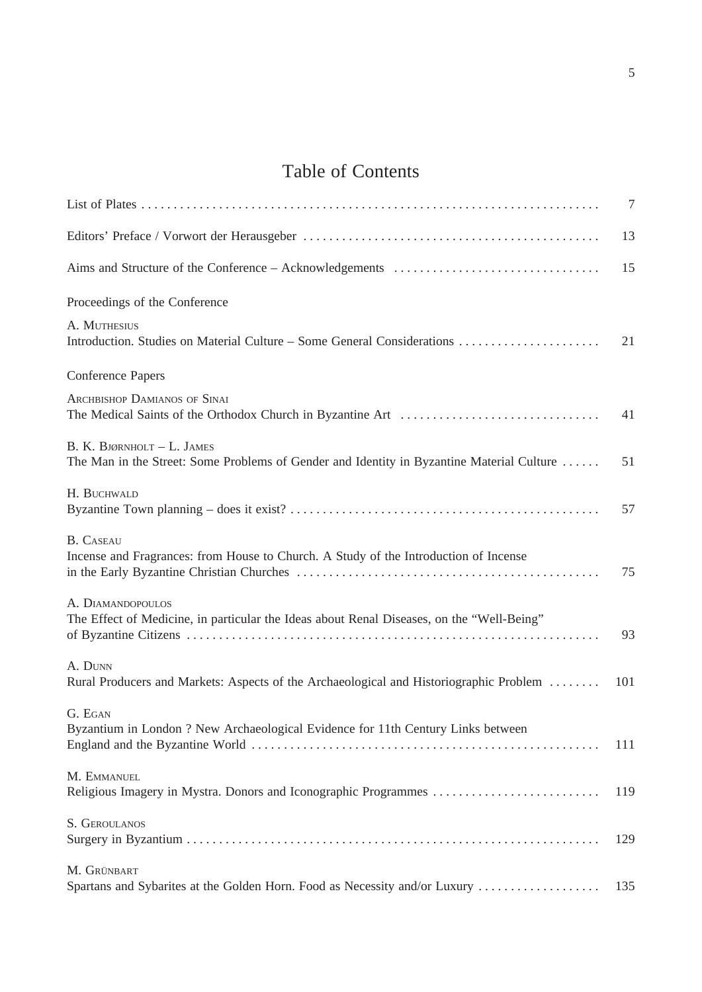## Table of Contents

|                                                                                                                         | $\tau$ |
|-------------------------------------------------------------------------------------------------------------------------|--------|
|                                                                                                                         | 13     |
|                                                                                                                         | 15     |
| Proceedings of the Conference                                                                                           |        |
| A. MUTHESIUS<br>Introduction. Studies on Material Culture - Some General Considerations                                 | 21     |
| <b>Conference Papers</b>                                                                                                |        |
| <b>ARCHBISHOP DAMIANOS OF SINAI</b>                                                                                     | 41     |
| B. K. BJØRNHOLT - L. JAMES<br>The Man in the Street: Some Problems of Gender and Identity in Byzantine Material Culture | 51     |
| H. BUCHWALD                                                                                                             | 57     |
| <b>B.</b> CASEAU<br>Incense and Fragrances: from House to Church. A Study of the Introduction of Incense                | 75     |
| A. DIAMANDOPOULOS<br>The Effect of Medicine, in particular the Ideas about Renal Diseases, on the "Well-Being"          | 93     |
| A. DUNN<br>Rural Producers and Markets: Aspects of the Archaeological and Historiographic Problem                       | 101    |
| G. EGAN<br>Byzantium in London? New Archaeological Evidence for 11th Century Links between                              | 111    |
| M. EMMANUEL<br>Religious Imagery in Mystra. Donors and Iconographic Programmes                                          | 119    |
| S. GEROULANOS                                                                                                           | 129    |
| M. GRÜNBART<br>Spartans and Sybarites at the Golden Horn. Food as Necessity and/or Luxury                               | 135    |